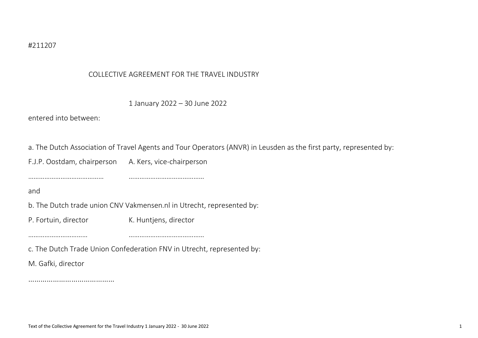## COLLECTIVE AGREEMENT FOR THE TRAVEL INDUSTRY

|  | 1 January 2022 - 30 June 2022 |  |  |  |  |
|--|-------------------------------|--|--|--|--|
|--|-------------------------------|--|--|--|--|

entered into between:

a. The Dutch Association of Travel Agents and Tour Operators (ANVR) in Leusden as the first party, represented by:

F.J.P. Oostdam, chairperson A. Kers, vice-chairperson

…………………………………… ……………………………………

and

b. The Dutch trade union CNV Vakmensen.nl in Utrecht, represented by:

P. Fortuin, director K. Huntjens, director

…………………………… ……………………………………

c. The Dutch Trade Union Confederation FNV in Utrecht, represented by:

M. Gafki, director

……………………………………………………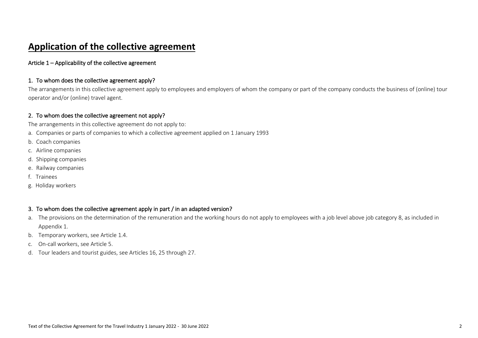# **Application of the collective agreement**

Article 1 – Applicability of the collective agreement

## 1. To whom does the collective agreement apply?

The arrangements in this collective agreement apply to employees and employers of whom the company or part of the company conducts the business of (online) tour operator and/or (online) travel agent.

## 2. To whom does the collective agreement not apply?

The arrangements in this collective agreement do not apply to:

- a. Companies or parts of companies to which a collective agreement applied on 1 January 1993
- b. Coach companies
- c. Airline companies
- d. Shipping companies
- e. Railway companies
- f. Trainees
- g. Holiday workers

## 3. To whom does the collective agreement apply in part / in an adapted version?

- a. The provisions on the determination of the remuneration and the working hours do not apply to employees with a job level above job category 8, as included in Appendix 1.
- b. Temporary workers, see Article 1.4.
- c. On-call workers, see Article 5.
- d. Tour leaders and tourist guides, see Articles 16, 25 through 27.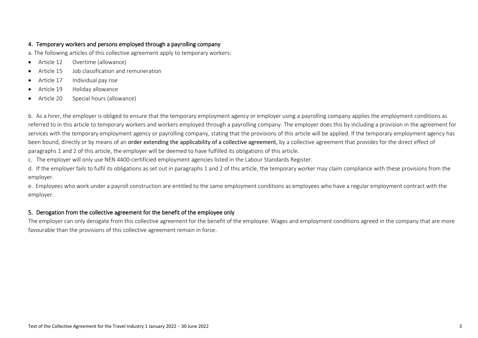## 4. Temporary workers and persons employed through a payrolling company

a. The following articles of this collective agreement apply to temporary workers:

- Article 12 Overtime (allowance)
- Article 15 Job classification and remuneration
- Article 17 Individual pay rise
- Article 19 Holiday allowance
- Article 20 Special hours (allowance)

b. As a hirer, the employer is obliged to ensure that the temporary employment agency or employer using a payrolling company applies the employment conditions as referred to in this article to temporary workers and workers employed through a payrolling company. The employer does this by including a provision in the agreement for services with the temporary employment agency or payrolling company, stating that the provisions of this article will be applied. If the temporary employment agency has been bound, directly or by means of an order extending the applicability of a collective agreement, by a collective agreement that provides for the direct effect of paragraphs 1 and 2 of this article, the employer will be deemed to have fulfilled its obligations of this article.

c. The employer will only use NEN 4400-certificied employment agencies listed in the Labour Standards Register.

d. If the employer fails to fulfil its obligations as set out in paragraphs 1 and 2 of this article, the temporary worker may claim compliance with these provisions from the employer.

e. Employees who work under a payroll construction are entitled to the same employment conditions as employees who have a regular employment contract with the employer.

## 5. Derogation from the collective agreement for the benefit of the employee only

The employer can only derogate from this collective agreement for the benefit of the employee. Wages and employment conditions agreed in the company that are more favourable than the provisions of this collective agreement remain in force.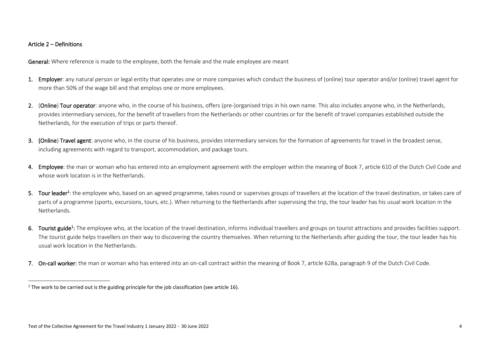### Article 2 – Definitions

General: Where reference is made to the employee, both the female and the male employee are meant

- 1. Employer: any natural person or legal entity that operates one or more companies which conduct the business of (online) tour operator and/or (online) travel agent for more than 50% of the wage bill and that employs one or more employees.
- 2. (Online) Tour operator: anyone who, in the course of his business, offers (pre-)organised trips in his own name. This also includes anyone who, in the Netherlands, provides intermediary services, for the benefit of travellers from the Netherlands or other countries or for the benefit of travel companies established outside the Netherlands, for the execution of trips or parts thereof.
- 3. (Online) Travel agent: anyone who, in the course of his business, provides intermediary services for the formation of agreements for travel in the broadest sense, including agreements with regard to transport, accommodation, and package tours.
- 4. Employee: the man or woman who has entered into an employment agreement with the employer within the meaning of Book 7, article 610 of the Dutch Civil Code and whose work location is in the Netherlands.
- 5. Tour leader<sup>1</sup>: the employee who, based on an agreed programme, takes round or supervises groups of travellers at the location of the travel destination, or takes care of parts of a programme (sports, excursions, tours, etc.). When returning to the Netherlands after supervising the trip, the tour leader has his usual work location in the **Netherlands**
- 6. Tourist guide<sup>1</sup>: The employee who, at the location of the travel destination, informs individual travellers and groups on tourist attractions and provides facilities support. The tourist guide helps travellers on their way to discovering the country themselves. When returning to the Netherlands after guiding the tour, the tour leader has his usual work location in the Netherlands.
- 7. On-call worker: the man or woman who has entered into an on-call contract within the meaning of Book 7, article 628a, paragraph 9 of the Dutch Civil Code.

 $1$  The work to be carried out is the guiding principle for the job classification (see article 16).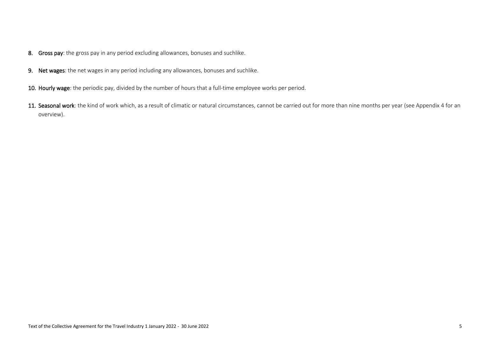- 8. Gross pay: the gross pay in any period excluding allowances, bonuses and suchlike.
- 9. Net wages: the net wages in any period including any allowances, bonuses and suchlike.
- 10. Hourly wage: the periodic pay, divided by the number of hours that a full-time employee works per period.
- 11. Seasonal work: the kind of work which, as a result of climatic or natural circumstances, cannot be carried out for more than nine months per year (see Appendix 4 for an overview).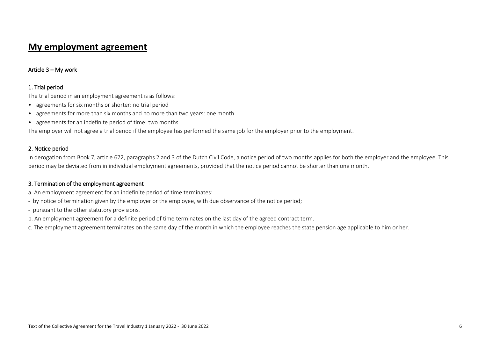## **My employment agreement**

## Article 3 – My work

## 1. Trial period

The trial period in an employment agreement is as follows:

- agreements for six months or shorter: no trial period
- agreements for more than six months and no more than two years: one month
- agreements for an indefinite period of time: two months

The employer will not agree a trial period if the employee has performed the same job for the employer prior to the employment.

### 2. Notice period

In derogation from Book 7, article 672, paragraphs 2 and 3 of the Dutch Civil Code, a notice period of two months applies for both the employer and the employee. This period may be deviated from in individual employment agreements, provided that the notice period cannot be shorter than one month.

## 3. Termination of the employment agreement

- a. An employment agreement for an indefinite period of time terminates:
- by notice of termination given by the employer or the employee, with due observance of the notice period;
- pursuant to the other statutory provisions.
- b. An employment agreement for a definite period of time terminates on the last day of the agreed contract term.
- c. The employment agreement terminates on the same day of the month in which the employee reaches the state pension age applicable to him or her.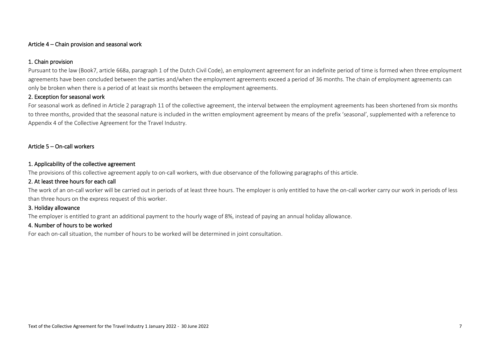### Article 4 – Chain provision and seasonal work

## 1. Chain provision

Pursuant to the law (Book7, article 668a, paragraph 1 of the Dutch Civil Code), an employment agreement for an indefinite period of time is formed when three employment agreements have been concluded between the parties and/when the employment agreements exceed a period of 36 months. The chain of employment agreements can only be broken when there is a period of at least six months between the employment agreements.

## 2. Exception for seasonal work

For seasonal work as defined in Article 2 paragraph 11 of the collective agreement, the interval between the employment agreements has been shortened from six months to three months, provided that the seasonal nature is included in the written employment agreement by means of the prefix 'seasonal', supplemented with a reference to Appendix 4 of the Collective Agreement for the Travel Industry.

## Article 5 – On-call workers

## 1. Applicability of the collective agreement

The provisions of this collective agreement apply to on-call workers, with due observance of the following paragraphs of this article.

## 2. At least three hours for each call

The work of an on-call worker will be carried out in periods of at least three hours. The employer is only entitled to have the on-call worker carry our work in periods of less than three hours on the express request of this worker.

## 3. Holiday allowance

The employer is entitled to grant an additional payment to the hourly wage of 8%, instead of paying an annual holiday allowance.

## 4. Number of hours to be worked

For each on-call situation, the number of hours to be worked will be determined in joint consultation.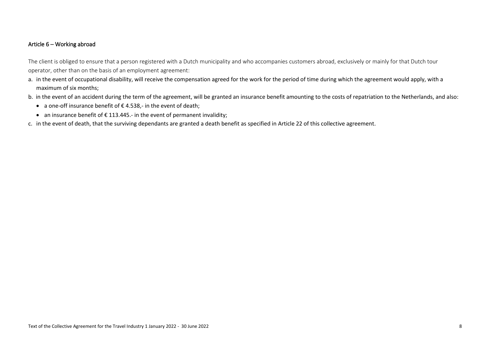### Article 6 – Working abroad

The client is obliged to ensure that a person registered with a Dutch municipality and who accompanies customers abroad, exclusively or mainly for that Dutch tour operator, other than on the basis of an employment agreement:

- a. in the event of occupational disability, will receive the compensation agreed for the work for the period of time during which the agreement would apply, with a maximum of six months;
- b. in the event of an accident during the term of the agreement, will be granted an insurance benefit amounting to the costs of repatriation to the Netherlands, and also:
	- a one-off insurance benefit of  $\epsilon$  4.538,- in the event of death;
	- an insurance benefit of  $\epsilon$  113.445.- in the event of permanent invalidity;
- c. in the event of death, that the surviving dependants are granted a death benefit as specified in Article 22 of this collective agreement.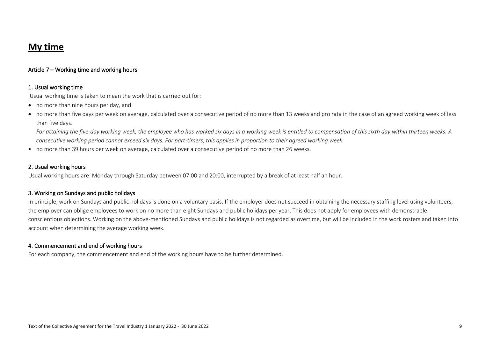# **My time**

## Article 7 – Working time and working hours

### 1. Usual working time

Usual working time is taken to mean the work that is carried out for:

- no more than nine hours per day, and
- no more than five days per week on average, calculated over a consecutive period of no more than 13 weeks and pro rata in the case of an agreed working week of less than five days.

For attaining the five-day working week, the employee who has worked six days in a working week is entitled to compensation of this sixth day within thirteen weeks. A *consecutive working period cannot exceed six days. For part-timers, this applies in proportion to their agreed working week.*

• no more than 39 hours per week on average, calculated over a consecutive period of no more than 26 weeks.

### 2. Usual working hours

Usual working hours are: Monday through Saturday between 07:00 and 20:00, interrupted by a break of at least half an hour.

### 3. Working on Sundays and public holidays

In principle, work on Sundays and public holidays is done on a voluntary basis. If the employer does not succeed in obtaining the necessary staffing level using volunteers, the employer can oblige employees to work on no more than eight Sundays and public holidays per year. This does not apply for employees with demonstrable conscientious objections. Working on the above-mentioned Sundays and public holidays is not regarded as overtime, but will be included in the work rosters and taken into account when determining the average working week.

### 4. Commencement and end of working hours

For each company, the commencement and end of the working hours have to be further determined.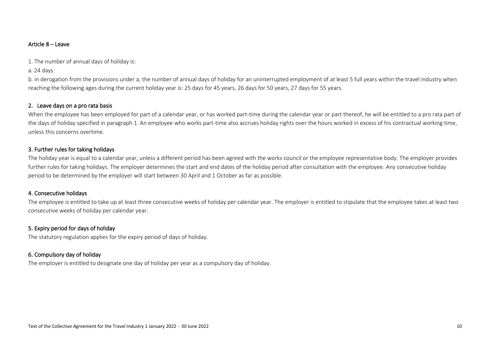### Article 8 – Leave

1. The number of annual days of holiday is:

## a. 24 days

b. in derogation from the provisions under a, the number of annual days of holiday for an uninterrupted employment of at least 5 full years within the travel industry when reaching the following ages during the current holiday year is: 25 days for 45 years, 26 days for 50 years, 27 days for 55 years.

## 2. Leave days on a pro rata basis

When the employee has been employed for part of a calendar year, or has worked part-time during the calendar year or part thereof, he will be entitled to a pro rata part of the days of holiday specified in paragraph 1. An employee who works part-time also accrues holiday rights over the hours worked in excess of his contractual working time, unless this concerns overtime.

## 3. Further rules for taking holidays

The holiday year is equal to a calendar year, unless a different period has been agreed with the works council or the employee representative body. The employer provides further rules for taking holidays. The employer determines the start and end dates of the holiday period after consultation with the employee. Any consecutive holiday period to be determined by the employer will start between 30 April and 1 October as far as possible.

### 4. Consecutive holidays

The employee is entitled to take up at least three consecutive weeks of holiday per calendar year. The employer is entitled to stipulate that the employee takes at least two consecutive weeks of holiday per calendar year.

## 5. Expiry period for days of holiday

The statutory regulation applies for the expiry period of days of holiday.

## 6. Compulsory day of holiday

The employer is entitled to designate one day of holiday per year as a compulsory day of holiday.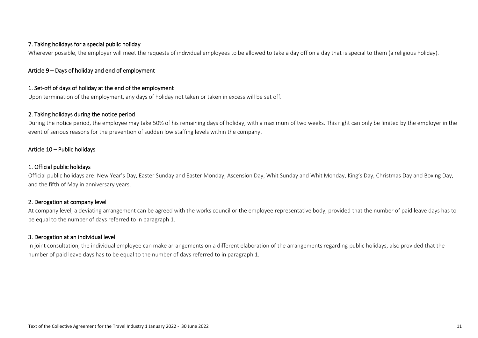## 7. Taking holidays for a special public holiday

Wherever possible, the employer will meet the requests of individual employees to be allowed to take a day off on a day that is special to them (a religious holiday).

## Article 9 – Days of holiday and end of employment

## 1. Set-off of days of holiday at the end of the employment

Upon termination of the employment, any days of holiday not taken or taken in excess will be set off.

### 2. Taking holidays during the notice period

During the notice period, the employee may take 50% of his remaining days of holiday, with a maximum of two weeks. This right can only be limited by the employer in the event of serious reasons for the prevention of sudden low staffing levels within the company.

### Article 10 – Public holidays

### 1. Official public holidays

Official public holidays are: New Year's Day, Easter Sunday and Easter Monday, Ascension Day, Whit Sunday and Whit Monday, King's Day, Christmas Day and Boxing Day, and the fifth of May in anniversary years.

## 2. Derogation at company level

At company level, a deviating arrangement can be agreed with the works council or the employee representative body, provided that the number of paid leave days has to be equal to the number of days referred to in paragraph 1.

## 3. Derogation at an individual level

In joint consultation, the individual employee can make arrangements on a different elaboration of the arrangements regarding public holidays, also provided that the number of paid leave days has to be equal to the number of days referred to in paragraph 1.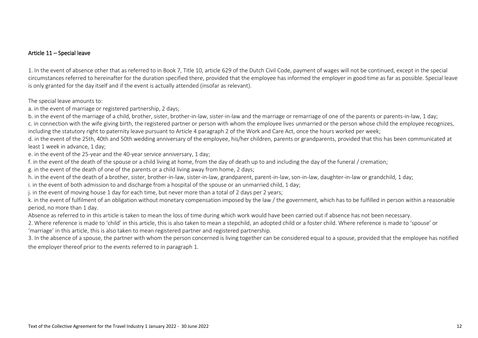## Article 11 – Special leave

1. In the event of absence other that as referred to in Book 7, Title 10, article 629 of the Dutch Civil Code, payment of wages will not be continued, except in the special circumstances referred to hereinafter for the duration specified there, provided that the employee has informed the employer in good time as far as possible. Special leave is only granted for the day itself and if the event is actually attended (insofar as relevant).

The special leave amounts to:

a. in the event of marriage or registered partnership, 2 days;

b. in the event of the marriage of a child, brother, sister, brother-in-law, sister-in-law and the marriage or remarriage of one of the parents or parents-in-law, 1 day;

c. in connection with the wife giving birth, the registered partner or person with whom the employee lives unmarried or the person whose child the employee recognizes, including the statutory right to paternity leave pursuant to Article 4 paragraph 2 of the Work and Care Act, once the hours worked per week;

d. in the event of the 25th, 40th and 50th wedding anniversary of the employee, his/her children, parents or grandparents, provided that this has been communicated at least 1 week in advance, 1 day;

e. in the event of the 25-year and the 40-year service anniversary, 1 day;

f. in the event of the death of the spouse or a child living at home, from the day of death up to and including the day of the funeral / cremation;

g. in the event of the death of one of the parents or a child living away from home, 2 days;

h. in the event of the death of a brother, sister, brother-in-law, sister-in-law, grandparent, parent-in-law, son-in-law, daughter-in-law or grandchild, 1 day;

i. in the event of both admission to and discharge from a hospital of the spouse or an unmarried child, 1 day;

j. in the event of moving house 1 day for each time, but never more than a total of 2 days per 2 years;

k. in the event of fulfilment of an obligation without monetary compensation imposed by the law / the government, which has to be fulfilled in person within a reasonable period, no more than 1 day.

Absence as referred to in this article is taken to mean the loss of time during which work would have been carried out if absence has not been necessary.

2. Where reference is made to 'child' in this article, this is also taken to mean a stepchild, an adopted child or a foster child. Where reference is made to 'spouse' or 'marriage' in this article, this is also taken to mean registered partner and registered partnership.

3. In the absence of a spouse, the partner with whom the person concerned is living together can be considered equal to a spouse, provided that the employee has notified the employer thereof prior to the events referred to in paragraph 1.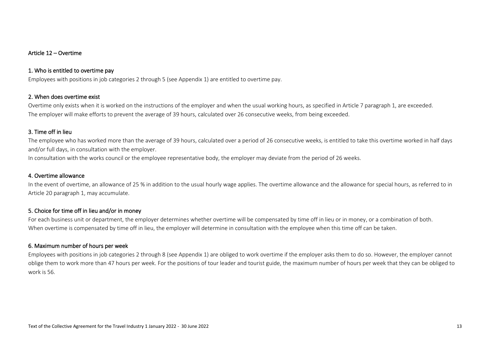### Article 12 – Overtime

### 1. Who is entitled to overtime pay

Employees with positions in job categories 2 through 5 (see Appendix 1) are entitled to overtime pay.

### 2. When does overtime exist

Overtime only exists when it is worked on the instructions of the employer and when the usual working hours, as specified in Article 7 paragraph 1, are exceeded. The employer will make efforts to prevent the average of 39 hours, calculated over 26 consecutive weeks, from being exceeded.

### 3. Time off in lieu

The employee who has worked more than the average of 39 hours, calculated over a period of 26 consecutive weeks, is entitled to take this overtime worked in half days and/or full days, in consultation with the employer.

In consultation with the works council or the employee representative body, the employer may deviate from the period of 26 weeks.

### 4. Overtime allowance

In the event of overtime, an allowance of 25 % in addition to the usual hourly wage applies. The overtime allowance and the allowance for special hours, as referred to in Article 20 paragraph 1, may accumulate.

### 5. Choice for time off in lieu and/or in money

For each business unit or department, the employer determines whether overtime will be compensated by time off in lieu or in money, or a combination of both. When overtime is compensated by time off in lieu, the employer will determine in consultation with the employee when this time off can be taken.

### 6. Maximum number of hours per week

Employees with positions in job categories 2 through 8 (see Appendix 1) are obliged to work overtime if the employer asks them to do so. However, the employer cannot oblige them to work more than 47 hours per week. For the positions of tour leader and tourist guide, the maximum number of hours per week that they can be obliged to work is 56.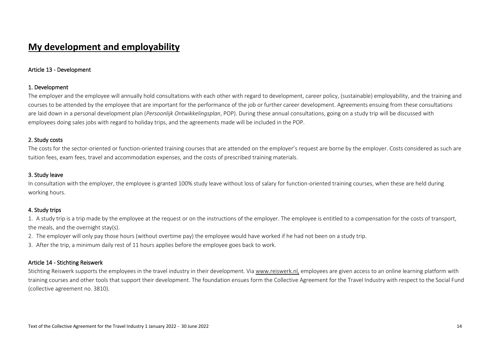# **My development and employability**

### Article 13 - Development

### 1. Development

The employer and the employee will annually hold consultations with each other with regard to development, career policy, (sustainable) employability, and the training and courses to be attended by the employee that are important for the performance of the job or further career development. Agreements ensuing from these consultations are laid down in a personal development plan (*Persoonlijk Ontwikkelingsplan*, POP). During these annual consultations, going on a study trip will be discussed with employees doing sales jobs with regard to holiday trips, and the agreements made will be included in the POP.

### 2. Study costs

The costs for the sector-oriented or function-oriented training courses that are attended on the employer's request are borne by the employer. Costs considered as such are tuition fees, exam fees, travel and accommodation expenses, and the costs of prescribed training materials.

## 3. Study leave

In consultation with the employer, the employee is granted 100% study leave without loss of salary for function-oriented training courses, when these are held during working hours.

### 4. Study trips

1. A study trip is a trip made by the employee at the request or on the instructions of the employer. The employee is entitled to a compensation for the costs of transport, the meals, and the overnight stay(s).

- 2. The employer will only pay those hours (without overtime pay) the employee would have worked if he had not been on a study trip.
- 3. After the trip, a minimum daily rest of 11 hours applies before the employee goes back to work.

### Article 14 - Stichting Reiswerk

Stichting Reiswerk supports the employees in the travel industry in their development. Via [www.reiswerk.nl,](http://www.reiswerk.nl/) employees are given access to an online learning platform with training courses and other tools that support their development. The foundation ensues form the Collective Agreement for the Travel Industry with respect to the Social Fund (collective agreement no. 3810).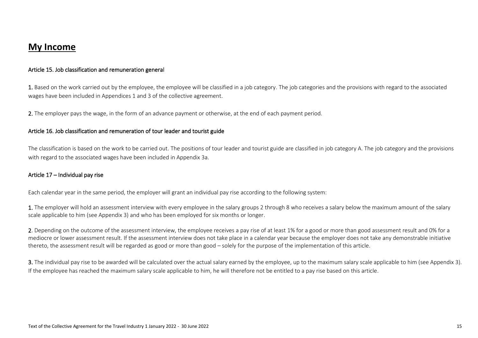## **My Income**

### Article 15. Job classification and remuneration general

1. Based on the work carried out by the employee, the employee will be classified in a job category. The job categories and the provisions with regard to the associated wages have been included in Appendices 1 and 3 of the collective agreement.

2. The employer pays the wage, in the form of an advance payment or otherwise, at the end of each payment period.

### Article 16. Job classification and remuneration of tour leader and tourist guide

The classification is based on the work to be carried out. The positions of tour leader and tourist guide are classified in job category A. The job category and the provisions with regard to the associated wages have been included in Appendix 3a.

### Article 17 – Individual pay rise

Each calendar year in the same period, the employer will grant an individual pay rise according to the following system:

1. The employer will hold an assessment interview with every employee in the salary groups 2 through 8 who receives a salary below the maximum amount of the salary scale applicable to him (see Appendix 3) and who has been employed for six months or longer.

2. Depending on the outcome of the assessment interview, the employee receives a pay rise of at least 1% for a good or more than good assessment result and 0% for a mediocre or lower assessment result. If the assessment interview does not take place in a calendar year because the employer does not take any demonstrable initiative thereto, the assessment result will be regarded as good or more than good – solely for the purpose of the implementation of this article.

3. The individual pay rise to be awarded will be calculated over the actual salary earned by the employee, up to the maximum salary scale applicable to him (see Appendix 3). If the employee has reached the maximum salary scale applicable to him, he will therefore not be entitled to a pay rise based on this article.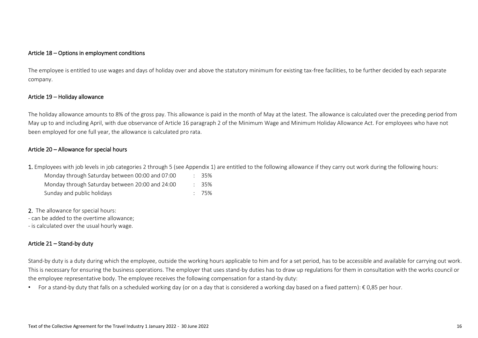### Article 18 – Options in employment conditions

The employee is entitled to use wages and days of holiday over and above the statutory minimum for existing tax-free facilities, to be further decided by each separate company.

### Article 19 – Holiday allowance

The holiday allowance amounts to 8% of the gross pay. This allowance is paid in the month of May at the latest. The allowance is calculated over the preceding period from May up to and including April, with due observance of Article 16 paragraph 2 of the Minimum Wage and Minimum Holiday Allowance Act. For employees who have not been employed for one full year, the allowance is calculated pro rata.

### Article 20 – Allowance for special hours

1. Employees with job levels in job categories 2 through 5 (see Appendix 1) are entitled to the following allowance if they carry out work during the following hours:

| Monday through Saturday between 00:00 and 07:00 |  | - 35%    |
|-------------------------------------------------|--|----------|
| Monday through Saturday between 20:00 and 24:00 |  | $: 35\%$ |
| Sunday and public holidays                      |  | $: 75\%$ |

2. The allowance for special hours:

- can be added to the overtime allowance;

- is calculated over the usual hourly wage.

## Article 21 – Stand-by duty

Stand-by duty is a duty during which the employee, outside the working hours applicable to him and for a set period, has to be accessible and available for carrying out work. This is necessary for ensuring the business operations. The employer that uses stand-by duties has to draw up regulations for them in consultation with the works council or the employee representative body. The employee receives the following compensation for a stand-by duty:

• For a stand-by duty that falls on a scheduled working day (or on a day that is considered a working day based on a fixed pattern): € 0,85 per hour.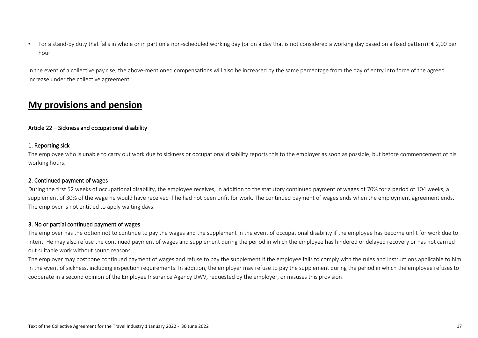• For a stand-by duty that falls in whole or in part on a non-scheduled working day (or on a day that is not considered a working day based on a fixed pattern):  $\epsilon$  2,00 per hour.

In the event of a collective pay rise, the above-mentioned compensations will also be increased by the same percentage from the day of entry into force of the agreed increase under the collective agreement.

# **My provisions and pension**

## Article 22 – Sickness and occupational disability

### 1. Reporting sick

The employee who is unable to carry out work due to sickness or occupational disability reports this to the employer as soon as possible, but before commencement of his working hours.

## 2. Continued payment of wages

During the first 52 weeks of occupational disability, the employee receives, in addition to the statutory continued payment of wages of 70% for a period of 104 weeks, a supplement of 30% of the wage he would have received if he had not been unfit for work. The continued payment of wages ends when the employment agreement ends. The employer is not entitled to apply waiting days.

### 3. No or partial continued payment of wages

The employer has the option not to continue to pay the wages and the supplement in the event of occupational disability if the employee has become unfit for work due to intent. He may also refuse the continued payment of wages and supplement during the period in which the employee has hindered or delayed recovery or has not carried out suitable work without sound reasons.

The employer may postpone continued payment of wages and refuse to pay the supplement if the employee fails to comply with the rules and instructions applicable to him in the event of sickness, including inspection requirements. In addition, the employer may refuse to pay the supplement during the period in which the employee refuses to cooperate in a second opinion of the Employee Insurance Agency UWV, requested by the employer, or misuses this provision.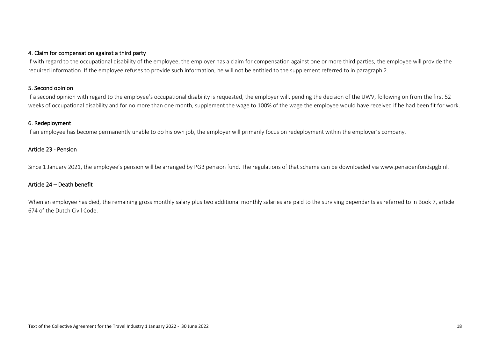## 4. Claim for compensation against a third party

If with regard to the occupational disability of the employee, the employer has a claim for compensation against one or more third parties, the employee will provide the required information. If the employee refuses to provide such information, he will not be entitled to the supplement referred to in paragraph 2.

## 5. Second opinion

If a second opinion with regard to the employee's occupational disability is requested, the employer will, pending the decision of the UWV, following on from the first 52 weeks of occupational disability and for no more than one month, supplement the wage to 100% of the wage the employee would have received if he had been fit for work.

### 6. Redeployment

If an employee has become permanently unable to do his own job, the employer will primarily focus on redeployment within the employer's company.

### Article 23 - Pension

Since 1 January 2021, the employee's pension will be arranged by PGB pension fund. The regulations of that scheme can be downloaded via www.pensioenfondspgb.nl.

### Article 24 – Death benefit

When an employee has died, the remaining gross monthly salary plus two additional monthly salaries are paid to the surviving dependants as referred to in Book 7, article 674 of the Dutch Civil Code.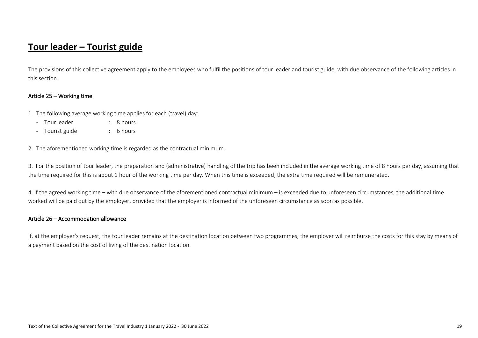# **Tour leader – Tourist guide**

The provisions of this collective agreement apply to the employees who fulfil the positions of tour leader and tourist guide, with due observance of the following articles in this section.

### Article 25 – Working time

- 1. The following average working time applies for each (travel) day:
	- Tour leader : 8 hours
	- Tourist guide : 6 hours

2. The aforementioned working time is regarded as the contractual minimum.

3. For the position of tour leader, the preparation and (administrative) handling of the trip has been included in the average working time of 8 hours per day, assuming that the time required for this is about 1 hour of the working time per day. When this time is exceeded, the extra time required will be remunerated.

4. If the agreed working time – with due observance of the aforementioned contractual minimum – is exceeded due to unforeseen circumstances, the additional time worked will be paid out by the employer, provided that the employer is informed of the unforeseen circumstance as soon as possible.

#### Article 26 – Accommodation allowance

If, at the employer's request, the tour leader remains at the destination location between two programmes, the employer will reimburse the costs for this stay by means of a payment based on the cost of living of the destination location.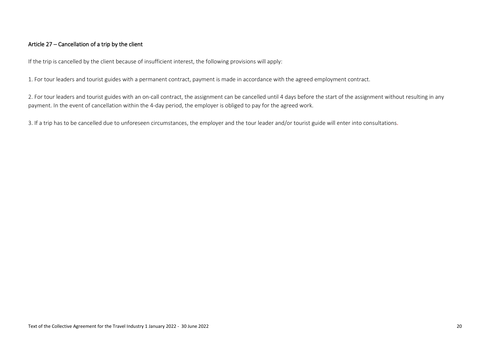## Article 27 – Cancellation of a trip by the client

If the trip is cancelled by the client because of insufficient interest, the following provisions will apply:

1. For tour leaders and tourist guides with a permanent contract, payment is made in accordance with the agreed employment contract.

2. For tour leaders and tourist guides with an on-call contract, the assignment can be cancelled until 4 days before the start of the assignment without resulting in any payment. In the event of cancellation within the 4-day period, the employer is obliged to pay for the agreed work.

3. If a trip has to be cancelled due to unforeseen circumstances, the employer and the tour leader and/or tourist guide will enter into consultations.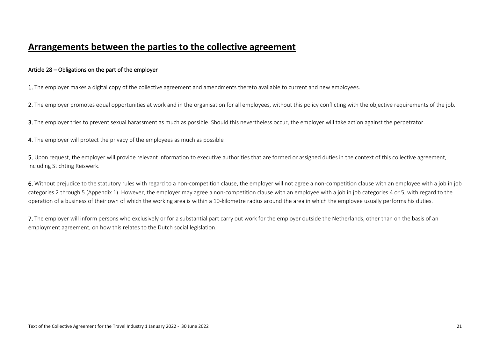## **Arrangements between the parties to the collective agreement**

## Article 28 – Obligations on the part of the employer

1. The employer makes a digital copy of the collective agreement and amendments thereto available to current and new employees.

2. The employer promotes equal opportunities at work and in the organisation for all employees, without this policy conflicting with the objective requirements of the job.

3. The employer tries to prevent sexual harassment as much as possible. Should this nevertheless occur, the employer will take action against the perpetrator.

4. The employer will protect the privacy of the employees as much as possible

5. Upon request, the employer will provide relevant information to executive authorities that are formed or assigned duties in the context of this collective agreement. including Stichting Reiswerk.

6. Without prejudice to the statutory rules with regard to a non-competition clause, the employer will not agree a non-competition clause with an employee with a job in job categories 2 through 5 (Appendix 1). However, the employer may agree a non-competition clause with an employee with a job in job categories 4 or 5, with regard to the operation of a business of their own of which the working area is within a 10-kilometre radius around the area in which the employee usually performs his duties.

7. The employer will inform persons who exclusively or for a substantial part carry out work for the employer outside the Netherlands, other than on the basis of an employment agreement, on how this relates to the Dutch social legislation.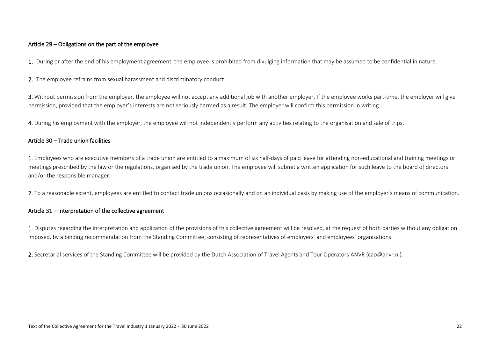## Article 29 – Obligations on the part of the employee

1. During or after the end of his employment agreement, the employee is prohibited from divulging information that may be assumed to be confidential in nature.

2. The employee refrains from sexual harassment and discriminatory conduct.

3. Without permission from the employer, the employee will not accept any additional job with another employer. If the employee works part-time, the employer will give permission, provided that the employer's interests are not seriously harmed as a result. The employer will confirm this permission in writing.

4. During his employment with the employer, the employee will not independently perform any activities relating to the organisation and sale of trips.

### Article 30 – Trade union facilities

1. Employees who are executive members of a trade union are entitled to a maximum of six half-days of paid leave for attending non-educational and training meetings or meetings prescribed by the law or the regulations, organised by the trade union. The employee will submit a written application for such leave to the board of directors and/or the responsible manager.

2. To a reasonable extent, employees are entitled to contact trade unions occasionally and on an individual basis by making use of the employer's means of communication.

### Article 31 – Interpretation of the collective agreement

1. Disputes regarding the interpretation and application of the provisions of this collective agreement will be resolved, at the request of both parties without any obligation imposed, by a binding recommendation from the Standing Committee, consisting of representatives of employers' and employees' organisations.

2. Secretarial services of the Standing Committee will be provided by the Dutch Association of Travel Agents and Tour Operators ANVR (cao@anvr.nl).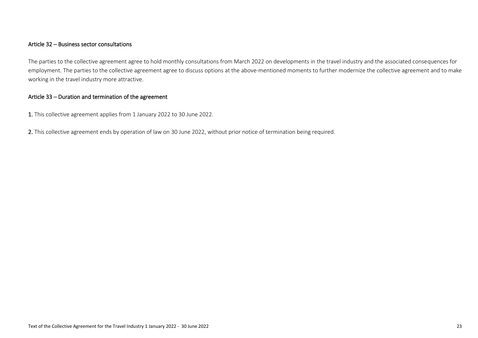## Article 32 – Business sector consultations

The parties to the collective agreement agree to hold monthly consultations from March 2022 on developments in the travel industry and the associated consequences for employment. The parties to the collective agreement agree to discuss options at the above-mentioned moments to further modernize the collective agreement and to make working in the travel industry more attractive.

## Article 33 – Duration and termination of the agreement

1. This collective agreement applies from 1 January 2022 to 30 June 2022.

2. This collective agreement ends by operation of law on 30 June 2022, without prior notice of termination being required.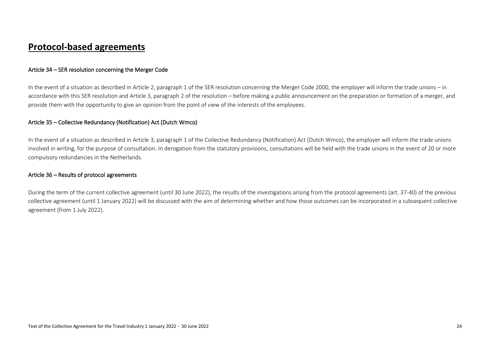# **Protocol-based agreements**

## Article 34 – SER resolution concerning the Merger Code

In the event of a situation as described in Article 2, paragraph 1 of the SER resolution concerning the Merger Code 2000, the employer will inform the trade unions – in accordance with this SER resolution and Article 3, paragraph 2 of the resolution – before making a public announcement on the preparation or formation of a merger, and provide them with the opportunity to give an opinion from the point of view of the interests of the employees.

### Article 35 – Collective Redundancy (Notification) Act (Dutch Wmco)

In the event of a situation as described in Article 3, paragraph 1 of the Collective Redundancy (Notification) Act (Dutch Wmco), the employer will inform the trade unions involved in writing, for the purpose of consultation. In derogation from the statutory provisions, consultations will be held with the trade unions in the event of 20 or more compulsory redundancies in the Netherlands.

### Article 36 – Results of protocol agreements

During the term of the current collective agreement (until 30 June 2022), the results of the investigations arising from the protocol agreements (art. 37-40) of the previous collective agreement (until 1 January 2022) will be discussed with the aim of determining whether and how those outcomes can be incorporated in a subsequent collective agreement (from 1 July 2022).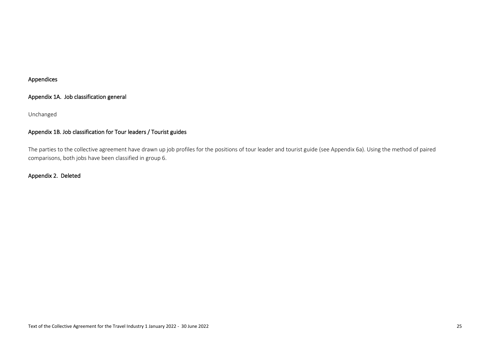## Appendices

## Appendix 1A. Job classification general

## Unchanged

## Appendix 1B. Job classification for Tour leaders / Tourist guides

The parties to the collective agreement have drawn up job profiles for the positions of tour leader and tourist guide (see Appendix 6a). Using the method of paired comparisons, both jobs have been classified in group 6.

## Appendix 2. Deleted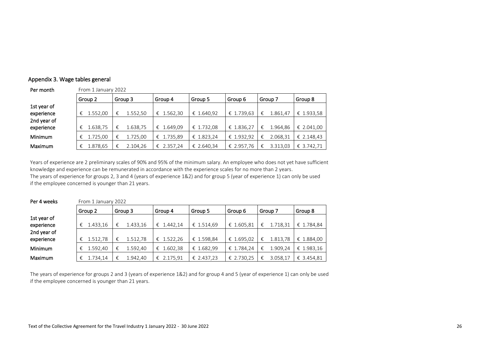## Appendix 3. Wage tables general

Per month From 1 January 2022

| Group 2  | Group 3       | Group 4    | Group 5    | Group 6    | Group 7       | Group 8    |  |
|----------|---------------|------------|------------|------------|---------------|------------|--|
|          |               |            |            |            |               |            |  |
| 1.552,00 | 1.552,50<br>€ | € 1.562,30 | € 1.640,92 | € 1.739,63 | 1.861,47<br>€ | € 1.933,58 |  |
|          |               |            |            |            |               |            |  |
| 1.638,75 | 1.638,75<br>€ | € 1.649.09 | € 1.732,08 | € 1.836,27 | 1.964.86<br>€ | € 2.041,00 |  |
| 1.725.00 | 1.725.00<br>€ | € 1.735.89 | € 1.823,24 | € 1.932.92 | 2.068.31<br>€ | € 2.148.43 |  |
| 1.878,65 | €<br>2.104,26 | € 2.357,24 | € 2.640,34 | € 2.957.76 | 3.313,03      | € 3.742.71 |  |
|          |               |            |            |            |               |            |  |

Years of experience are 2 preliminary scales of 90% and 95% of the minimum salary. An employee who does not yet have sufficient knowledge and experience can be remunerated in accordance with the experience scales for no more than 2 years. The years of experience for groups 2, 3 and 4 (years of experience 1&2) and for group 5 (year of experience 1) can only be used if the employee concerned is younger than 21 years.

Per 4 weeks From 1 January 2022 Group 2 Group 3 Group 4 Group 5 Group 6 Group 7 Group 8 1st year of experience  $\begin{array}{|l|l|l|l|}\n\hline\n\epsilon & 1.433,16 & \epsilon & 1.433,16 & \epsilon & 1.442,14 & \epsilon & 1.514,69 & \epsilon & 1.605,81 & \epsilon & 1.718,31 & \epsilon & 1.784,84\n\end{array}$ 2nd year of experience  $\begin{array}{|l|l|l|}\n\hline\n\in&1.512,78 & \in& 1.512,78 & \in& 1.522,26 & \in& 1.598,84 & \in& 1.695,02 & \in& 1.813,78 & \in& 1.884,00\n\end{array}$ Minimum  $\begin{array}{|l|l|l|l|l|}\n\hline\n\epsilon & 1.592,40 & \epsilon & 1.592,40 & \epsilon & 1.602,38 & \epsilon & 1.682,99 & \epsilon & 1.784,24 & \epsilon & 1.909,24 & \epsilon & 1.983,16\n\end{array}$ Maximum  $\begin{array}{|l|l|l|}\n\hline\n6 & 1.734,14 & \epsilon & 1.942,40 & \epsilon & 2.175,91 & \epsilon & 2.437,23 & \epsilon & 2.730,25 & \epsilon & 3.058,17 & \epsilon & 3.454,81\n\end{array}$ 

The years of experience for groups 2 and 3 (years of experience 1&2) and for group 4 and 5 (year of experience 1) can only be used if the employee concerned is younger than 21 years.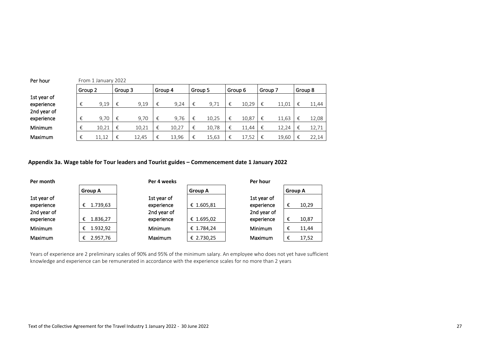| Per hour    | From 1 January 2022 |       |         |       |         |       |         |       |   |         |         |       |   |         |
|-------------|---------------------|-------|---------|-------|---------|-------|---------|-------|---|---------|---------|-------|---|---------|
|             | Group 2             |       | Group 3 |       | Group 4 |       | Group 5 |       |   | Group 6 | Group 7 |       |   | Group 8 |
| 1st year of |                     |       |         |       |         |       |         |       |   |         |         |       |   |         |
| experience  | €                   | 9,19  | €       | 9,19  | €       | 9,24  | €       | 9,71  | € | 10.29   | €       | 11.01 | € | 11,44   |
| 2nd year of |                     |       |         |       |         |       |         |       |   |         |         |       |   |         |
| experience  |                     | 9.70  | €       | 9,70  | €       | 9,76  | €       | 10,25 | € | 10.87   | €       | 11,63 | € | 12,08   |
| Minimum     |                     | 10.21 | €       | 10.21 | €       | 10.27 | €       | 10.78 | € | 11.44   | €       | 12.24 | € | 12,71   |
| Maximum     |                     | 11,12 | €       | 12.45 | €       | 13.96 | €       | 15,63 | € | 17,52   | €       | 19,60 | € | 22,14   |

## **Appendix 3a. Wage table for Tour leaders and Tourist guides – Commencement date 1 January 2022**

| Per month      |                | Per 4 weeks    |                |             |                | Per hour |  |  |
|----------------|----------------|----------------|----------------|-------------|----------------|----------|--|--|
|                | <b>Group A</b> |                | <b>Group A</b> |             | <b>Group A</b> |          |  |  |
| 1st year of    |                | 1st year of    |                | 1st year of |                |          |  |  |
| experience     | 1.739,63<br>€  | experience     | € 1.605,81     | experience  | €              | 10,29    |  |  |
| 2nd year of    |                | 2nd year of    |                | 2nd year of |                |          |  |  |
| experience     | 1.836,27<br>€  | experience     | € 1.695,02     | experience  | €              | 10,87    |  |  |
| <b>Minimum</b> | 1.932,92<br>€  | Minimum        | € 1.784,24     | Minimum     | €              | 11,44    |  |  |
| Maximum        | 2.957,76<br>€  | <b>Maximum</b> | € 2.730,25     | Maximum     | €              | 17,52    |  |  |

Years of experience are 2 preliminary scales of 90% and 95% of the minimum salary. An employee who does not yet have sufficient knowledge and experience can be remunerated in accordance with the experience scales for no more than 2 years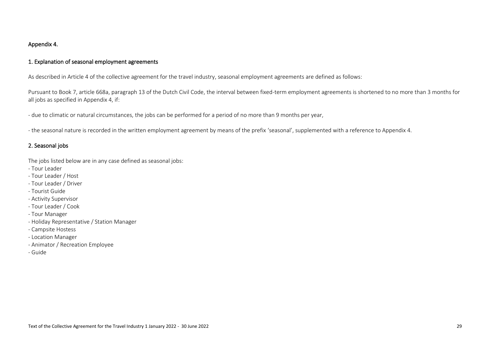## Appendix 4.

## 1. Explanation of seasonal employment agreements

As described in Article 4 of the collective agreement for the travel industry, seasonal employment agreements are defined as follows:

Pursuant to Book 7, article 668a, paragraph 13 of the Dutch Civil Code, the interval between fixed-term employment agreements is shortened to no more than 3 months for all jobs as specified in Appendix 4, if:

- due to climatic or natural circumstances, the jobs can be performed for a period of no more than 9 months per year,

- the seasonal nature is recorded in the written employment agreement by means of the prefix 'seasonal', supplemented with a reference to Appendix 4.

## 2. Seasonal jobs

The jobs listed below are in any case defined as seasonal jobs:

- Tour Leader
- Tour Leader / Host
- Tour Leader / Driver
- Tourist Guide
- Activity Supervisor
- Tour Leader / Cook
- Tour Manager
- Holiday Representative / Station Manager
- Campsite Hostess
- Location Manager
- Animator / Recreation Employee
- Guide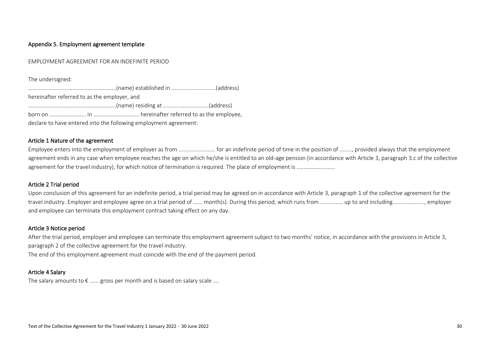### Appendix 5. Employment agreement template

#### EMPLOYMENT AGREEMENT FOR AN INDEFINITE PERIOD

The undersigned:

.......................................………………..(name) established in ..............…....………(address) hereinafter referred to as the employer, and .......................................………………..(name) residing at ..............................(address) born on ........................ in .............................. hereinafter referred to as the employee, declare to have entered into the following employment agreement:

### Article 1 Nature of the agreement

Employee enters into the employment of employer as from ........................ for an indefinite period of time in the position of ........, provided always that the employment agreement ends in any case when employee reaches the age on which he/she is entitled to an old-age pension (in accordance with Article 3, paragraph 3.c of the collective agreement for the travel industry), for which notice of termination is required. The place of employment is ………………………

#### Article 2 Trial period

Upon conclusion of this agreement for an indefinite period, a trial period may be agreed on in accordance with Article 3, paragraph 1 of the collective agreement for the travel industry. Employer and employee agree on a trial period of ...... month(s). During this period, which runs from ................. up to and including....................... employer and employee can terminate this employment contract taking effect on any day.

### Article 3 Notice period

After the trial period, employer and employee can terminate this employment agreement subject to two months' notice, in accordance with the provisions in Article 3, paragraph 2 of the collective agreement for the travel industry.

The end of this employment agreement must coincide with the end of the payment period.

### Article 4 Salary

The salary amounts to  $\epsilon$  ...... gross per month and is based on salary scale ....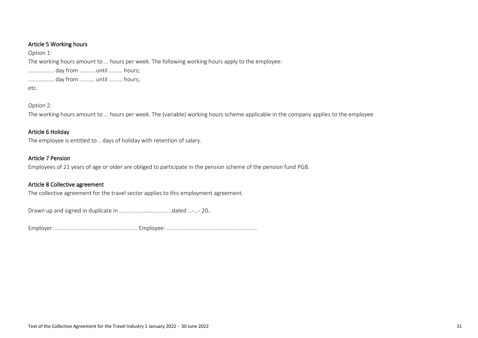## Article 5 Working hours

Option 1:

The working hours amount to ... hours per week. The following working hours apply to the employee:

................. day from .......... until ......... hours;

................. day from .......... until ......... hours;

etc.

Option 2:

The working hours amount to ... hours per week. The (variable) working hours scheme applicable in the company applies to the employee

## Article 6 Holiday

The employee is entitled to .. days of holiday with retention of salary.

## Article 7 Pension

Employees of 21 years of age or older are obliged to participate in the pension scheme of the pension fund PGB.

## Article 8 Collective agreement

The collective agreement for the travel sector applies to this employment agreement.

Drawn up and signed in duplicate in .....…………………..........dated …-…- 20..

Employer: ...................................................... Employee: ...........................................................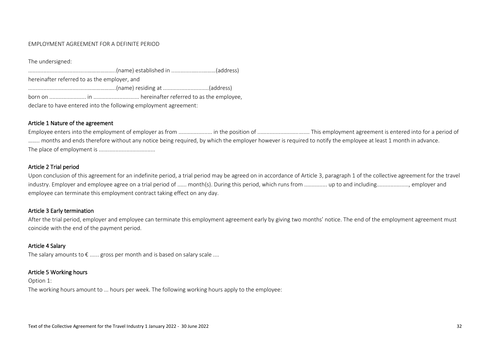#### EMPLOYMENT AGREEMENT FOR A DEFINITE PERIOD

The undersigned:

.......................................………………..(name) established in ..............…....………(address) hereinafter referred to as the employer, and .......................................………………..(name) residing at ..............................(address) born on ........................ in .............................. hereinafter referred to as the employee, declare to have entered into the following employment agreement:

### Article 1 Nature of the agreement

Employee enters into the employment of employer as from ...................... in the position of .................................. This employment agreement is entered into for a period of ........ months and ends therefore without any notice being required, by which the employer however is required to notify the employee at least 1 month in advance. The place of employment is .....................................

### Article 2 Trial period

Upon conclusion of this agreement for an indefinite period, a trial period may be agreed on in accordance of Article 3, paragraph 1 of the collective agreement for the travel industry. Employer and employee agree on a trial period of ...... month(s). During this period, which runs from ................ up to and including...................... employer and employee can terminate this employment contract taking effect on any day.

### Article 3 Early termination

After the trial period, employer and employee can terminate this employment agreement early by giving two months' notice. The end of the employment agreement must coincide with the end of the payment period.

### Article 4 Salary

The salary amounts to  $\epsilon$  ...... gross per month and is based on salary scale ....

### Article 5 Working hours

Option 1:

The working hours amount to ... hours per week. The following working hours apply to the employee: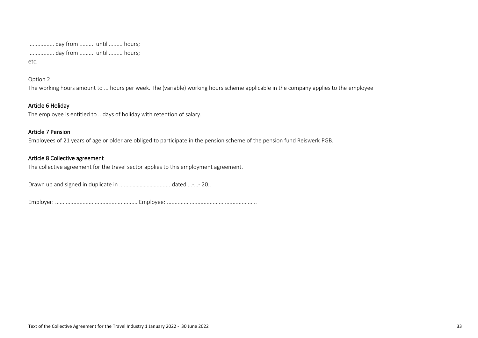................. day from .......... until ......... hours; ................. day from .......... until ......... hours;

etc.

Option 2:

The working hours amount to ... hours per week. The (variable) working hours scheme applicable in the company applies to the employee

## Article 6 Holiday

The employee is entitled to .. days of holiday with retention of salary.

## Article 7 Pension

Employees of 21 years of age or older are obliged to participate in the pension scheme of the pension fund Reiswerk PGB.

## Article 8 Collective agreement

The collective agreement for the travel sector applies to this employment agreement.

Drawn up and signed in duplicate in .....…………………..........dated …-…- 20..

Employer: ...................................................... Employee: ...........................................................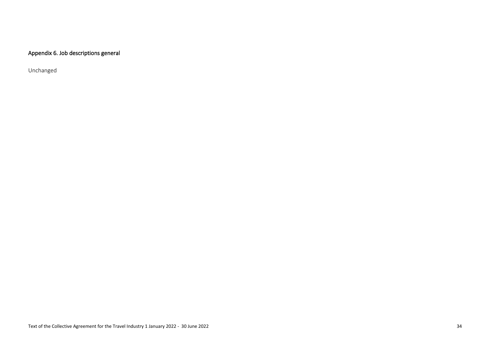## Appendix 6. Job descriptions general

Unchanged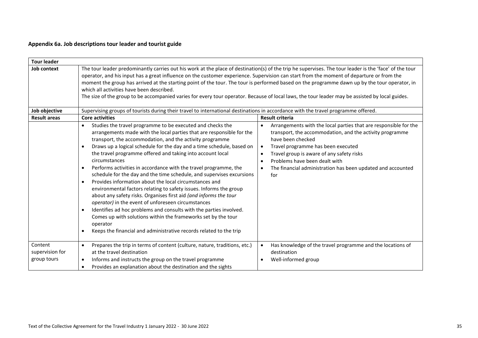## **Appendix 6a. Job descriptions tour leader and tourist guide**

| <b>Tour leader</b>  |                                                                                                                                                                                                                                                                                                                                                                                                                                                                                                                                                                                                                                                                                                                                                                                                                                                                                                                                                                                                                                                                                |                                                                                                                                                                                                                                                                                                                                                                                                              |  |  |  |  |  |  |  |  |
|---------------------|--------------------------------------------------------------------------------------------------------------------------------------------------------------------------------------------------------------------------------------------------------------------------------------------------------------------------------------------------------------------------------------------------------------------------------------------------------------------------------------------------------------------------------------------------------------------------------------------------------------------------------------------------------------------------------------------------------------------------------------------------------------------------------------------------------------------------------------------------------------------------------------------------------------------------------------------------------------------------------------------------------------------------------------------------------------------------------|--------------------------------------------------------------------------------------------------------------------------------------------------------------------------------------------------------------------------------------------------------------------------------------------------------------------------------------------------------------------------------------------------------------|--|--|--|--|--|--|--|--|
| Job context         | The tour leader predominantly carries out his work at the place of destination(s) of the trip he supervises. The tour leader is the 'face' of the tour<br>operator, and his input has a great influence on the customer experience. Supervision can start from the moment of departure or from the<br>moment the group has arrived at the starting point of the tour. The tour is performed based on the programme dawn up by the tour operator, in<br>which all activities have been described.<br>The size of the group to be accompanied varies for every tour operator. Because of local laws, the tour leader may be assisted by local guides.                                                                                                                                                                                                                                                                                                                                                                                                                            |                                                                                                                                                                                                                                                                                                                                                                                                              |  |  |  |  |  |  |  |  |
| Job objective       | Supervising groups of tourists during their travel to international destinations in accordance with the travel programme offered.                                                                                                                                                                                                                                                                                                                                                                                                                                                                                                                                                                                                                                                                                                                                                                                                                                                                                                                                              |                                                                                                                                                                                                                                                                                                                                                                                                              |  |  |  |  |  |  |  |  |
| <b>Result areas</b> | <b>Core activities</b>                                                                                                                                                                                                                                                                                                                                                                                                                                                                                                                                                                                                                                                                                                                                                                                                                                                                                                                                                                                                                                                         | <b>Result criteria</b>                                                                                                                                                                                                                                                                                                                                                                                       |  |  |  |  |  |  |  |  |
|                     | Studies the travel programme to be executed and checks the<br>$\bullet$<br>arrangements made with the local parties that are responsible for the<br>transport, the accommodation, and the activity programme<br>Draws up a logical schedule for the day and a time schedule, based on<br>$\bullet$<br>the travel programme offered and taking into account local<br>circumstances<br>Performs activities in accordance with the travel programme, the<br>$\bullet$<br>schedule for the day and the time schedule, and supervises excursions<br>Provides information about the local circumstances and<br>$\bullet$<br>environmental factors relating to safety issues. Informs the group<br>about any safety risks. Organises first aid (and informs the tour<br><i>operator</i> ) in the event of unforeseen circumstances<br>Identifies ad hoc problems and consults with the parties involved.<br>$\bullet$<br>Comes up with solutions within the frameworks set by the tour<br>operator<br>Keeps the financial and administrative records related to the trip<br>$\bullet$ | Arrangements with the local parties that are responsible for the<br>$\bullet$<br>transport, the accommodation, and the activity programme<br>have been checked<br>Travel programme has been executed<br>$\bullet$<br>Travel group is aware of any safety risks<br>$\bullet$<br>Problems have been dealt with<br>$\bullet$<br>The financial administration has been updated and accounted<br>$\bullet$<br>for |  |  |  |  |  |  |  |  |
| Content             | Prepares the trip in terms of content (culture, nature, traditions, etc.)<br>$\bullet$                                                                                                                                                                                                                                                                                                                                                                                                                                                                                                                                                                                                                                                                                                                                                                                                                                                                                                                                                                                         | Has knowledge of the travel programme and the locations of<br>$\bullet$                                                                                                                                                                                                                                                                                                                                      |  |  |  |  |  |  |  |  |
| supervision for     | at the travel destination                                                                                                                                                                                                                                                                                                                                                                                                                                                                                                                                                                                                                                                                                                                                                                                                                                                                                                                                                                                                                                                      | destination                                                                                                                                                                                                                                                                                                                                                                                                  |  |  |  |  |  |  |  |  |
| group tours         | Informs and instructs the group on the travel programme<br>$\bullet$<br>Provides an explanation about the destination and the sights<br>$\bullet$                                                                                                                                                                                                                                                                                                                                                                                                                                                                                                                                                                                                                                                                                                                                                                                                                                                                                                                              | Well-informed group<br>$\bullet$                                                                                                                                                                                                                                                                                                                                                                             |  |  |  |  |  |  |  |  |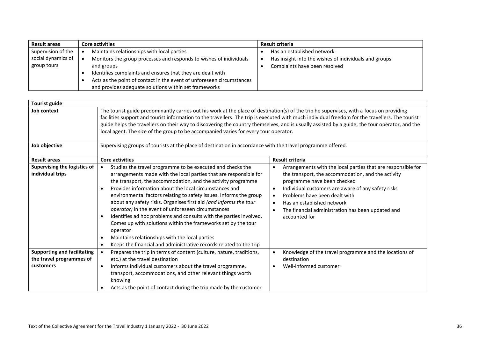| <b>Result areas</b> | <b>Core activities</b>                                                | <b>Result criteria</b>                                |
|---------------------|-----------------------------------------------------------------------|-------------------------------------------------------|
| Supervision of the  | Maintains relationships with local parties                            | Has an established network                            |
| social dynamics of  | Monitors the group processes and responds to wishes of individuals    | Has insight into the wishes of individuals and groups |
| group tours         | and groups                                                            | Complaints have been resolved                         |
|                     | Identifies complaints and ensures that they are dealt with            |                                                       |
|                     | Acts as the point of contact in the event of unforeseen circumstances |                                                       |
|                     | and provides adequate solutions within set frameworks                 |                                                       |

| <b>Tourist guide</b>                             |                                                                                                                                                                                                                                                                                                                                                                                                                                                                                                                                                                                                                                                                                                                                                                                                        |                                                                                                                                                                                                                                                                                                                                                                                                               |  |  |  |  |  |  |  |
|--------------------------------------------------|--------------------------------------------------------------------------------------------------------------------------------------------------------------------------------------------------------------------------------------------------------------------------------------------------------------------------------------------------------------------------------------------------------------------------------------------------------------------------------------------------------------------------------------------------------------------------------------------------------------------------------------------------------------------------------------------------------------------------------------------------------------------------------------------------------|---------------------------------------------------------------------------------------------------------------------------------------------------------------------------------------------------------------------------------------------------------------------------------------------------------------------------------------------------------------------------------------------------------------|--|--|--|--|--|--|--|
| Job context                                      | The tourist guide predominantly carries out his work at the place of destination(s) of the trip he supervises, with a focus on providing<br>facilities support and tourist information to the travellers. The trip is executed with much individual freedom for the travellers. The tourist<br>guide helps the travellers on their way to discovering the country themselves, and is usually assisted by a guide, the tour operator, and the<br>local agent. The size of the group to be accompanied varies for every tour operator.                                                                                                                                                                                                                                                                   |                                                                                                                                                                                                                                                                                                                                                                                                               |  |  |  |  |  |  |  |
| Job objective                                    | Supervising groups of tourists at the place of destination in accordance with the travel programme offered.                                                                                                                                                                                                                                                                                                                                                                                                                                                                                                                                                                                                                                                                                            |                                                                                                                                                                                                                                                                                                                                                                                                               |  |  |  |  |  |  |  |
| <b>Result areas</b>                              | <b>Core activities</b>                                                                                                                                                                                                                                                                                                                                                                                                                                                                                                                                                                                                                                                                                                                                                                                 | <b>Result criteria</b>                                                                                                                                                                                                                                                                                                                                                                                        |  |  |  |  |  |  |  |
| Supervising the logistics of<br>individual trips | Studies the travel programme to be executed and checks the<br>$\bullet$<br>arrangements made with the local parties that are responsible for<br>the transport, the accommodation, and the activity programme<br>Provides information about the local circumstances and<br>$\bullet$<br>environmental factors relating to safety issues. Informs the group<br>about any safety risks. Organises first aid (and informs the tour<br>operator) in the event of unforeseen circumstances<br>Identifies ad hoc problems and consults with the parties involved.<br>$\bullet$<br>Comes up with solutions within the frameworks set by the tour<br>operator<br>Maintains relationships with the local parties<br>$\bullet$<br>Keeps the financial and administrative records related to the trip<br>$\bullet$ | Arrangements with the local parties that are responsible for<br>$\bullet$<br>the transport, the accommodation, and the activity<br>programme have been checked<br>Individual customers are aware of any safety risks<br>$\bullet$<br>Problems have been dealt with<br>$\bullet$<br>Has an established network<br>$\bullet$<br>The financial administration has been updated and<br>$\bullet$<br>accounted for |  |  |  |  |  |  |  |
| <b>Supporting and facilitating</b>               | Prepares the trip in terms of content (culture, nature, traditions,<br>$\bullet$                                                                                                                                                                                                                                                                                                                                                                                                                                                                                                                                                                                                                                                                                                                       | Knowledge of the travel programme and the locations of<br>$\bullet$                                                                                                                                                                                                                                                                                                                                           |  |  |  |  |  |  |  |
| the travel programmes of                         | etc.) at the travel destination                                                                                                                                                                                                                                                                                                                                                                                                                                                                                                                                                                                                                                                                                                                                                                        | destination                                                                                                                                                                                                                                                                                                                                                                                                   |  |  |  |  |  |  |  |
| customers                                        | Informs individual customers about the travel programme,<br>$\bullet$<br>transport, accommodations, and other relevant things worth<br>knowing<br>Acts as the point of contact during the trip made by the customer                                                                                                                                                                                                                                                                                                                                                                                                                                                                                                                                                                                    | Well-informed customer                                                                                                                                                                                                                                                                                                                                                                                        |  |  |  |  |  |  |  |